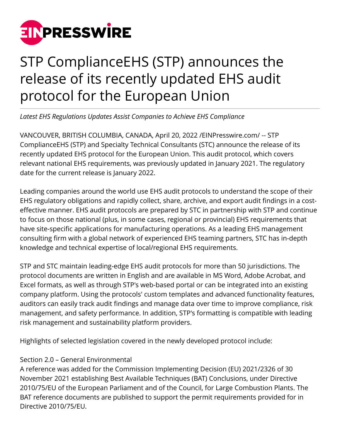

# STP ComplianceEHS (STP) announces the release of its recently updated EHS audit protocol for the European Union

*Latest EHS Regulations Updates Assist Companies to Achieve EHS Compliance*

VANCOUVER, BRITISH COLUMBIA, CANADA, April 20, 2022 /[EINPresswire.com/](http://www.einpresswire.com) -- STP ComplianceEHS (STP) and Specialty Technical Consultants (STC) announce the release of its recently updated EHS protocol for the European Union. This audit protocol, which covers relevant national EHS requirements, was previously updated in January 2021. The regulatory date for the current release is January 2022.

Leading companies around the world use EHS audit protocols to understand the scope of their EHS regulatory obligations and rapidly collect, share, archive, and export audit findings in a costeffective manner. EHS audit protocols are prepared by STC in partnership with STP and continue to focus on those national (plus, in some cases, regional or provincial) EHS requirements that have site-specific applications for manufacturing operations. As a leading EHS management consulting firm with a global network of experienced EHS teaming partners, STC has in-depth knowledge and technical expertise of local/regional EHS requirements.

STP and STC maintain leading-edge EHS audit protocols for more than 50 jurisdictions. The protocol documents are written in English and are available in MS Word, Adobe Acrobat, and Excel formats, as well as through STP's web-based portal or can be integrated into an existing company platform. Using the protocols' custom templates and advanced functionality features, auditors can easily track audit findings and manage data over time to improve compliance, risk management, and safety performance. In addition, STP's formatting is compatible with leading risk management and sustainability platform providers.

Highlights of selected legislation covered in the newly developed protocol include:

## Section 2.0 – General Environmental

A reference was added for the Commission Implementing Decision (EU) 2021/2326 of 30 November 2021 establishing Best Available Techniques (BAT) Conclusions, under Directive 2010/75/EU of the European Parliament and of the Council, for Large Combustion Plants. The BAT reference documents are published to support the permit requirements provided for in Directive 2010/75/EU.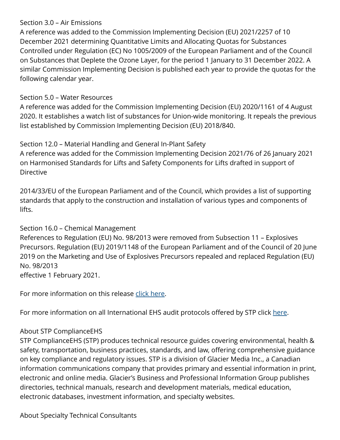#### Section 3.0 – Air Emissions

A reference was added to the Commission Implementing Decision (EU) 2021/2257 of 10 December 2021 determining Quantitative Limits and Allocating Quotas for Substances Controlled under Regulation (EC) No 1005/2009 of the European Parliament and of the Council on Substances that Deplete the Ozone Layer, for the period 1 January to 31 December 2022. A similar Commission Implementing Decision is published each year to provide the quotas for the following calendar year.

#### Section 5.0 – Water Resources

A reference was added for the Commission Implementing Decision (EU) 2020/1161 of 4 August 2020. It establishes a watch list of substances for Union-wide monitoring. It repeals the previous list established by Commission Implementing Decision (EU) 2018/840.

### Section 12.0 – Material Handling and General In-Plant Safety

A reference was added for the Commission Implementing Decision 2021/76 of 26 January 2021 on Harmonised Standards for Lifts and Safety Components for Lifts drafted in support of Directive

2014/33/EU of the European Parliament and of the Council, which provides a list of supporting standards that apply to the construction and installation of various types and components of lifts.

#### Section 16.0 – Chemical Management

References to Regulation (EU) No. 98/2013 were removed from Subsection 11 – Explosives Precursors. Regulation (EU) 2019/1148 of the European Parliament and of the Council of 20 June 2019 on the Marketing and Use of Explosives Precursors repealed and replaced Regulation (EU) No. 98/2013 effective 1 February 2021.

For more information on this release [click here.](https://stphub.stpehs.com/updates/#recent-updates)

For more information on all International EHS audit protocols offered by STP click [here](https://www.ehscompliance.solutions/product-category/global/).

## About STP ComplianceEHS

STP ComplianceEHS (STP) produces technical resource guides covering environmental, health & safety, transportation, business practices, standards, and law, offering comprehensive guidance on key compliance and regulatory issues. STP is a division of Glacier Media Inc., a Canadian information communications company that provides primary and essential information in print, electronic and online media. Glacier's Business and Professional Information Group publishes directories, technical manuals, research and development materials, medical education, electronic databases, investment information, and specialty websites.